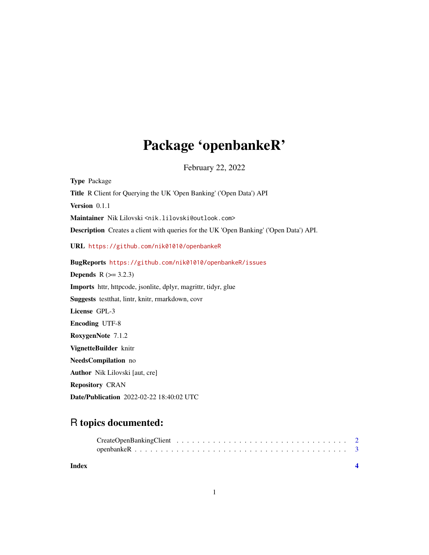## Package 'openbankeR'

February 22, 2022

Type Package Title R Client for Querying the UK 'Open Banking' ('Open Data') API Version 0.1.1 Maintainer Nik Lilovski <nik.lilovski@outlook.com> Description Creates a client with queries for the UK 'Open Banking' ('Open Data') API. URL <https://github.com/nik01010/openbankeR> BugReports <https://github.com/nik01010/openbankeR/issues> **Depends**  $R$  ( $>= 3.2.3$ ) Imports httr, httpcode, jsonlite, dplyr, magrittr, tidyr, glue Suggests testthat, lintr, knitr, rmarkdown, covr License GPL-3 Encoding UTF-8 RoxygenNote 7.1.2 VignetteBuilder knitr NeedsCompilation no Author Nik Lilovski [aut, cre] Repository CRAN Date/Publication 2022-02-22 18:40:02 UTC

### R topics documented:

| Index |  |  |  |  |  |  |  |  |  |  |  |  |  |  |  |
|-------|--|--|--|--|--|--|--|--|--|--|--|--|--|--|--|
|       |  |  |  |  |  |  |  |  |  |  |  |  |  |  |  |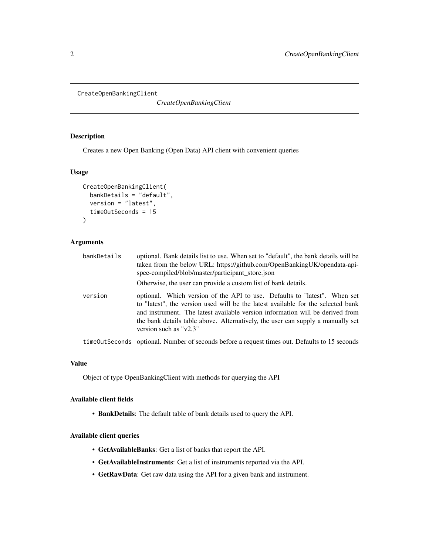```
CreateOpenBankingClient
```
*CreateOpenBankingClient*

#### Description

Creates a new Open Banking (Open Data) API client with convenient queries

#### Usage

```
CreateOpenBankingClient(
  bankDetails = "default",
  version = "latest",
  timeOutSeconds = 15
)
```
#### Arguments

| bankDetails | optional. Bank details list to use. When set to "default", the bank details will be<br>taken from the below URL: https://github.com/OpenBankingUK/opendata-api-<br>spec-compiled/blob/master/participant_store.json                                                                                                                                           |
|-------------|---------------------------------------------------------------------------------------------------------------------------------------------------------------------------------------------------------------------------------------------------------------------------------------------------------------------------------------------------------------|
|             | Otherwise, the user can provide a custom list of bank details.                                                                                                                                                                                                                                                                                                |
| version     | optional. Which version of the API to use. Defaults to "latest". When set<br>to "latest", the version used will be the latest available for the selected bank<br>and instrument. The latest available version information will be derived from<br>the bank details table above. Alternatively, the user can supply a manually set<br>version such as $v2.3$ " |
|             | timeOutSeconds optional. Number of seconds before a request times out. Defaults to 15 seconds                                                                                                                                                                                                                                                                 |

#### Value

Object of type OpenBankingClient with methods for querying the API

#### Available client fields

• BankDetails: The default table of bank details used to query the API.

#### Available client queries

- GetAvailableBanks: Get a list of banks that report the API.
- GetAvailableInstruments: Get a list of instruments reported via the API.
- GetRawData: Get raw data using the API for a given bank and instrument.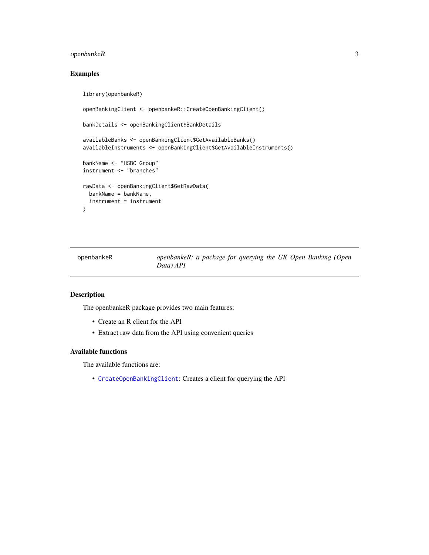#### <span id="page-2-0"></span>openbankeR 3

#### Examples

```
library(openbankeR)
openBankingClient <- openbankeR::CreateOpenBankingClient()
bankDetails <- openBankingClient$BankDetails
availableBanks <- openBankingClient$GetAvailableBanks()
availableInstruments <- openBankingClient$GetAvailableInstruments()
bankName <- "HSBC Group"
instrument <- "branches"
rawData <- openBankingClient$GetRawData(
 bankName = bankName,
  instrument = instrument
\mathcal{L}
```
openbankeR *openbankeR: a package for querying the UK Open Banking (Open Data) API*

#### Description

The openbankeR package provides two main features:

- Create an R client for the API
- Extract raw data from the API using convenient queries

#### Available functions

The available functions are:

• [CreateOpenBankingClient](#page-1-1): Creates a client for querying the API